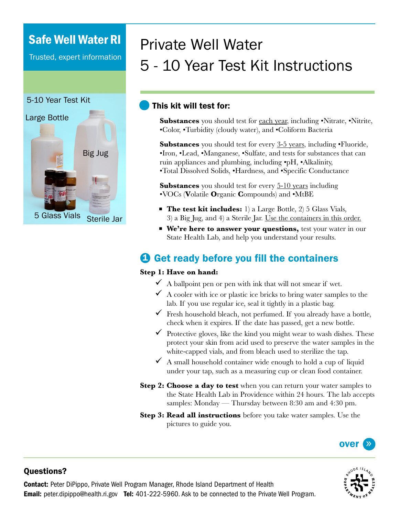# Safe Well Water RI

Trusted, expert information

### 5-10 Year Test Kit



# Private Well Water 5 - 10 Year Test Kit Instructions

### This kit will test for:

**Substances** you should test for each year, including •Nitrate, •Nitrite, •Color, •Turbidity (cloudy water), and •Coliform Bacteria

**Substances** you should test for every 3-5 years, including •Fluoride, •Iron, •Lead, •Manganese, •Sulfate, and tests for substances that can ruin appliances and plumbing, including •pH, •Alkalinity, •Total Dissolved Solids, •Hardness, and •Specific Conductance

**Substances** you should test for every 5-10 years including •VOCs (**V**olatile **O**rganic **C**ompounds) and •MtBE

- **The test kit includes:** 1) a Large Bottle, 2) 5 Glass Vials, 3) a Big Jug, and 4) a Sterile Jar. Use the containers in this order.
- **We're here to answer your questions,** test your water in our State Health Lab, and help you understand your results.

# **3** Get ready before you fill the containers

#### **Step 1: Have on hand:**

- $\checkmark$  A ballpoint pen or pen with ink that will not smear if wet.
- $\overline{9}$  A cooler with ice or plastic ice bricks to bring water samples to the lab. If you use regular ice, seal it tightly in a plastic bag.
- $\checkmark$  Fresh household bleach, not perfumed. If you already have a bottle, check when it expires. If the date has passed, get a new bottle.
- $\checkmark$  Protective gloves, like the kind you might wear to wash dishes. These protect your skin from acid used to preserve the water samples in the white-capped vials, and from bleach used to sterilize the tap.
- $\checkmark$  A small household container wide enough to hold a cup of liquid under your tap, such as a measuring cup or clean food container.
- **Step 2: Choose a day to test** when you can return your water samples to the State Health Lab in Providence within 24 hours. The lab accepts samples: Monday — Thursday between 8:30 am and 4:30 pm.
- **Step 3: Read all instructions** before you take water samples. Use the pictures to guide you.





### Questions?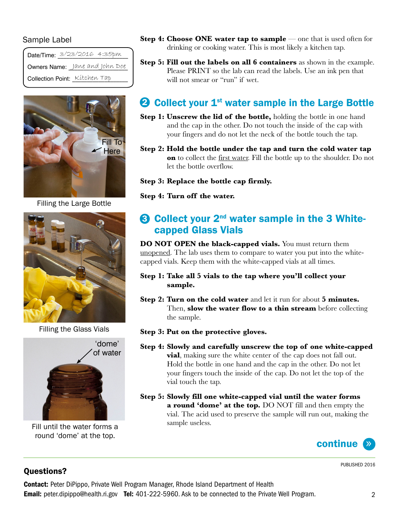#### Sample Label

| Date/Time: 3/23/2016 4:35pm    |  |
|--------------------------------|--|
| Owners Name: Jane and John Doe |  |
| Collection Point: Kitchen Tap  |  |



Filling the Large Bottle



Filling the Glass Vials



Fill until the water forms a round 'dome' at the top.

- **Step 4: Choose ONE water tap to sample** one that is used often for drinking or cooking water. This is most likely a kitchen tap.
- **Step 5: Fill out the labels on all 6 containers** as shown in the example. Please PRINT so the lab can read the labels. Use an ink pen that will not smear or "run" if wet.

# **2** Collect your  $1^{st}$  water sample in the Large Bottle

- **Step 1: Unscrew the lid of the bottle,** holding the bottle in one hand and the cap in the other. Do not touch the inside of the cap with your fingers and do not let the neck of the bottle touch the tap.
- **Step 2: Hold the bottle under the tap and turn the cold water tap on** to collect the first water. Fill the bottle up to the shoulder. Do not let the bottle overflow.

**Step 3: Replace the bottle cap firmly.**

**Step 4: Turn off the water.**

### **3 Collect your 2<sup>nd</sup> water sample in the 3 White**capped Glass Vials

**DO NOT OPEN the black-capped vials.** You must return them unopened. The lab uses them to compare to water you put into the whitecapped vials. Keep them with the white-capped vials at all times.

#### **Step 1: Take all 5 vials to the tap where you'll collect your sample.**

- **Step 2: Turn on the cold water** and let it run for about **5 minutes.**  Then, **slow the water flow to a thin stream** before collecting the sample.
- **Step 3: Put on the protective gloves.**
- **Step 4: Slowly and carefully unscrew the top of one white-capped vial**, making sure the white center of the cap does not fall out. Hold the bottle in one hand and the cap in the other. Do not let your fingers touch the inside of the cap. Do not let the top of the vial touch the tap.
- **Step 5: Slowly fill one white-capped vial until the water forms a round 'dome' at the top.** DO NOT fill and then empty the vial. The acid used to preserve the sample will run out, making the sample useless.



### Questions?

PUBLISHED 2016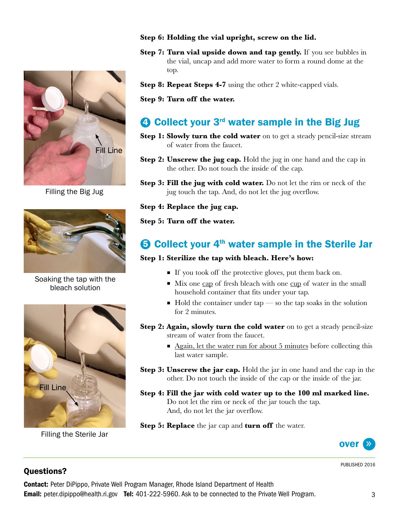

Filling the Big Jug



Soaking the tap with the bleach solution



Filling the Sterile Jar

#### **Step 6: Holding the vial upright, screw on the lid.**

- **Step 7: Turn vial upside down and tap gently.** If you see bubbles in the vial, uncap and add more water to form a round dome at the top.
- **Step 8: Repeat Steps 4-7** using the other 2 white-capped vials.

**Step 9: Turn off the water.**

## **3** Collect your 3<sup>rd</sup> water sample in the Big Jug

- **Step 1: Slowly turn the cold water** on to get a steady pencil-size stream of water from the faucet.
- **Step 2: Unscrew the jug cap.** Hold the jug in one hand and the cap in the other. Do not touch the inside of the cap.
- **Step 3: Fill the jug with cold water.** Do not let the rim or neck of the jug touch the tap. And, do not let the jug overflow.

**Step 4: Replace the jug cap.**

#### **Step 5: Turn off the water.**

### **5 Collect your 4<sup>th</sup> water sample in the Sterile Jar**

#### **Step 1: Sterilize the tap with bleach. Here's how:**

- If you took off the protective gloves, put them back on.
- Mix one cap of fresh bleach with one cup of water in the small household container that fits under your tap.
- $\blacksquare$  Hold the container under tap so the tap soaks in the solution for 2 minutes.
- **Step 2: Again, slowly turn the cold water** on to get a steady pencil-size stream of water from the faucet.
	- Again, let the water run for about 5 minutes before collecting this last water sample.
- **Step 3: Unscrew the jar cap.** Hold the jar in one hand and the cap in the other. Do not touch the inside of the cap or the inside of the jar.
- **Step 4: Fill the jar with cold water up to the 100 ml marked line.** Do not let the rim or neck of the jar touch the tap. And, do not let the jar overflow.
- **Step 5: Replace** the jar cap and **turn off** the water.



PUBLISHED 2016

### Questions?